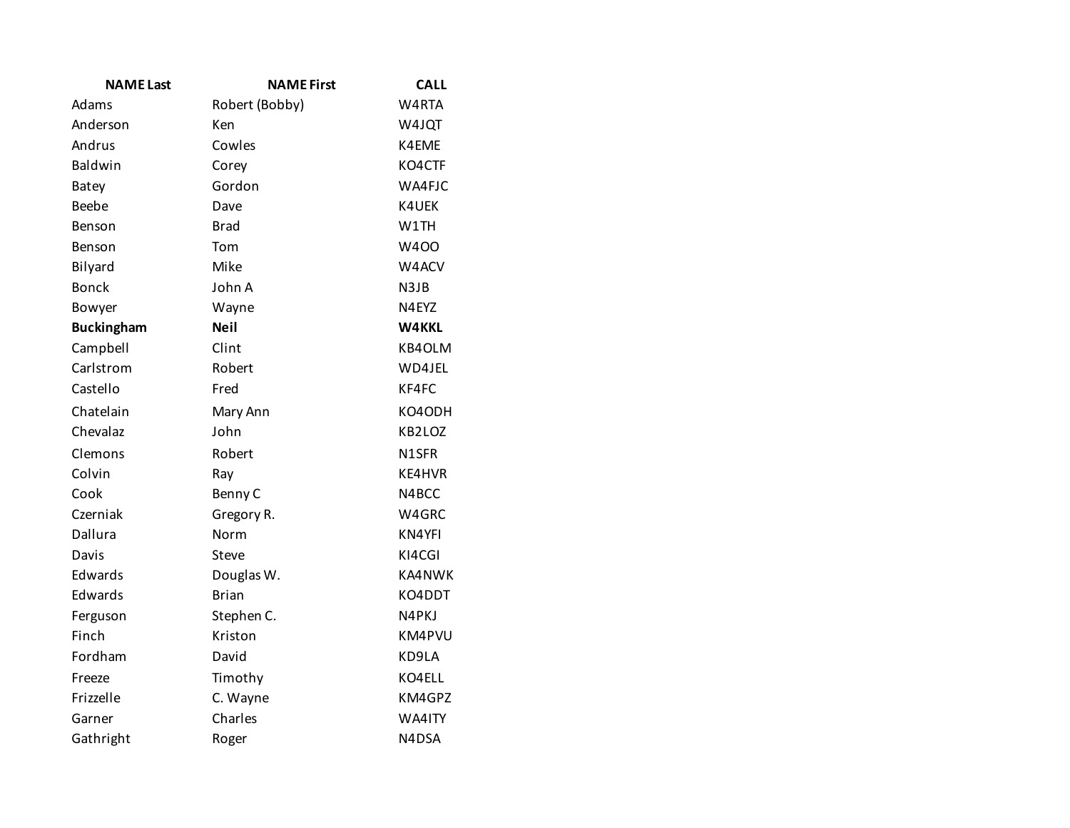| <b>NAME Last</b>  | <b>NAME First</b> | <b>CALL</b>  |
|-------------------|-------------------|--------------|
| Adams             | Robert (Bobby)    | W4RTA        |
| Anderson          | Ken               | W4JQT        |
| Andrus            | Cowles            | K4EME        |
| Baldwin           | Corey             | KO4CTF       |
| <b>Batey</b>      | Gordon            | WA4FJC       |
| Beebe             | Dave              | K4UEK        |
| Benson            | <b>Brad</b>       | W1TH         |
| Benson            | Tom               | <b>W400</b>  |
| Bilyard           | Mike              | W4ACV        |
| <b>Bonck</b>      | John A            | N3JB         |
| Bowyer            | Wayne             | N4EYZ        |
| <b>Buckingham</b> | <b>Neil</b>       | <b>W4KKL</b> |
| Campbell          | Clint             | KB4OLM       |
| Carlstrom         | Robert            | WD4JEL       |
| Castello          | Fred              | KF4FC        |
| Chatelain         | Mary Ann          | KO4ODH       |
| Chevalaz          | John              | KB2LOZ       |
| Clemons           | Robert            | N1SFR        |
| Colvin            | Ray               | KE4HVR       |
| Cook              | Benny C           | N4BCC        |
| Czerniak          | Gregory R.        | W4GRC        |
| Dallura           | Norm              | KN4YFI       |
| Davis             | Steve             | KI4CGI       |
| Edwards           | Douglas W.        | KA4NWK       |
| Edwards           | <b>Brian</b>      | KO4DDT       |
| Ferguson          | Stephen C.        | N4PKJ        |
| Finch             | Kriston           | KM4PVU       |
| Fordham           | David             | KD9LA        |
| Freeze            | Timothy           | KO4ELL       |
| Frizzelle         | C. Wayne          | KM4GPZ       |
| Garner            | Charles           | WA4ITY       |
| Gathright         | Roger             | N4DSA        |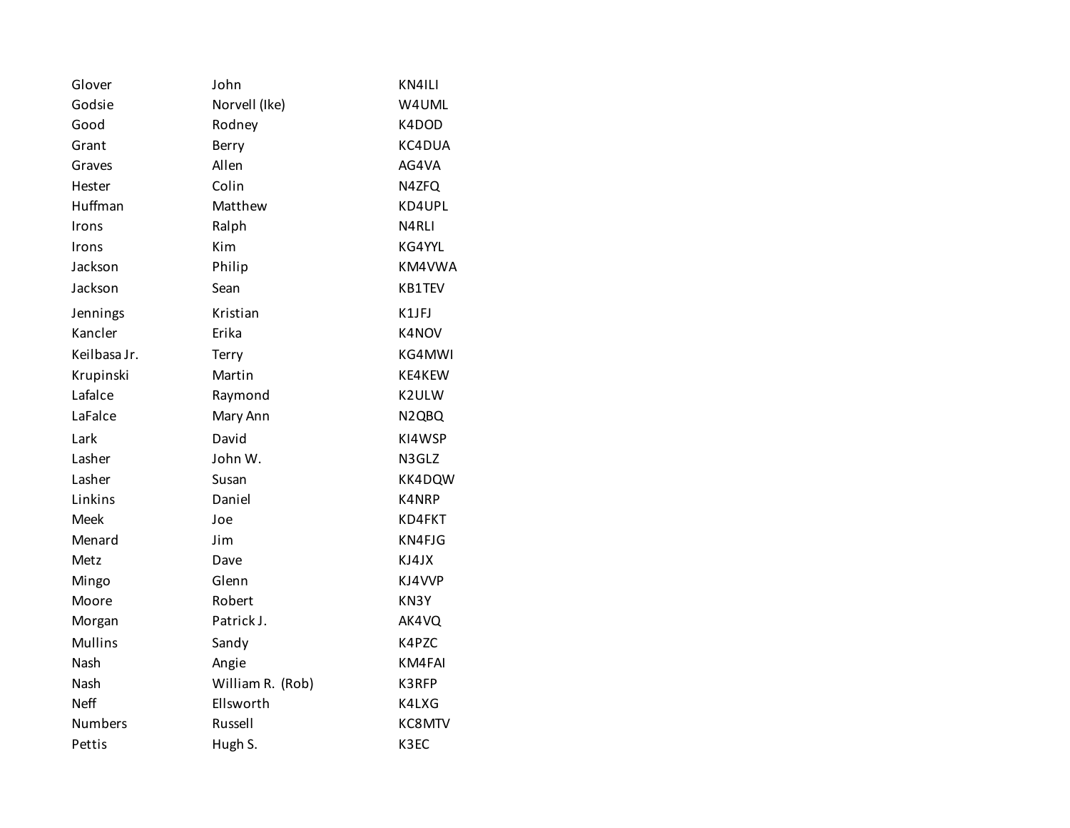| Glover         | John             | KN4ILI                         |
|----------------|------------------|--------------------------------|
| Godsie         | Norvell (Ike)    | W4UML                          |
| Good           | Rodney           | K4DOD                          |
| Grant          | Berry            | KC4DUA                         |
| Graves         | Allen            | AG4VA                          |
| Hester         | Colin            | N4ZFQ                          |
| Huffman        | Matthew          | KD4UPL                         |
| Irons          | Ralph            | N4RLI                          |
| Irons          | Kim              | KG4YYL                         |
| Jackson        | Philip           | KM4VWA                         |
| Jackson        | Sean             | KB1TEV                         |
| Jennings       | Kristian         | K1JFJ                          |
| Kancler        | Erika            | K4NOV                          |
| Keilbasa Jr.   | Terry            | KG4MWI                         |
| Krupinski      | Martin           | KE4KEW                         |
| Lafalce        | Raymond          | K2ULW                          |
| LaFalce        | Mary Ann         | N <sub>2</sub> Q <sub>BQ</sub> |
| Lark           | David            | KI4WSP                         |
| Lasher         | John W.          | N3GLZ                          |
| Lasher         | Susan            | KK4DQW                         |
| Linkins        | Daniel           | K4NRP                          |
| Meek           | Joe              | KD4FKT                         |
| Menard         | Jim              | KN4FJG                         |
| Metz           | Dave             | KJ4JX                          |
| Mingo          | Glenn            | KJ4VVP                         |
| Moore          | Robert           | KN3Y                           |
| Morgan         | Patrick J.       | AK4VQ                          |
| <b>Mullins</b> | Sandy            | K4PZC                          |
| Nash           | Angie            | KM4FAI                         |
| Nash           | William R. (Rob) | K3RFP                          |
| <b>Neff</b>    | Ellsworth        | K4LXG                          |
| <b>Numbers</b> | Russell          | KC8MTV                         |
| Pettis         | Hugh S.          | K3EC                           |